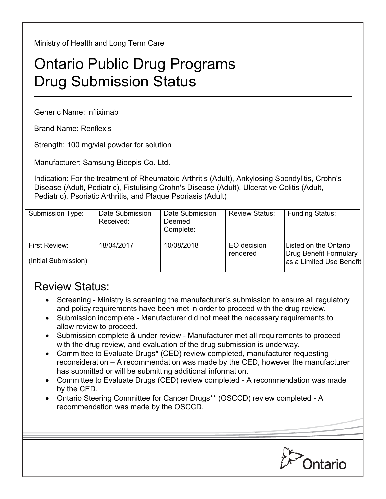Ministry of Health and Long Term Care

## Ontario Public Drug Programs Drug Submission Status

Generic Name: infliximab

Brand Name: Renflexis

Strength: 100 mg/vial powder for solution

Manufacturer: Samsung Bioepis Co. Ltd.

Indication: For the treatment of Rheumatoid Arthritis (Adult), Ankylosing Spondylitis, Crohn's Disease (Adult, Pediatric), Fistulising Crohn's Disease (Adult), Ulcerative Colitis (Adult, Pediatric), Psoriatic Arthritis, and Plaque Psoriasis (Adult)

| Submission Type:                      | Date Submission<br>Received: | Date Submission<br>Deemed<br>Complete: | <b>Review Status:</b>   | <b>Funding Status:</b>                                                      |
|---------------------------------------|------------------------------|----------------------------------------|-------------------------|-----------------------------------------------------------------------------|
| First Review:<br>(Initial Submission) | 18/04/2017                   | 10/08/2018                             | EO decision<br>rendered | Listed on the Ontario<br>Drug Benefit Formulary<br>as a Limited Use Benefit |

## Review Status:

- Screening Ministry is screening the manufacturer's submission to ensure all regulatory and policy requirements have been met in order to proceed with the drug review.
- Submission incomplete Manufacturer did not meet the necessary requirements to allow review to proceed.
- Submission complete & under review Manufacturer met all requirements to proceed with the drug review, and evaluation of the drug submission is underway.
- Committee to Evaluate Drugs\* (CED) review completed, manufacturer requesting reconsideration – A recommendation was made by the CED, however the manufacturer has submitted or will be submitting additional information.
- Committee to Evaluate Drugs (CED) review completed A recommendation was made by the CED.
- Ontario Steering Committee for Cancer Drugs\*\* (OSCCD) review completed A recommendation was made by the OSCCD.